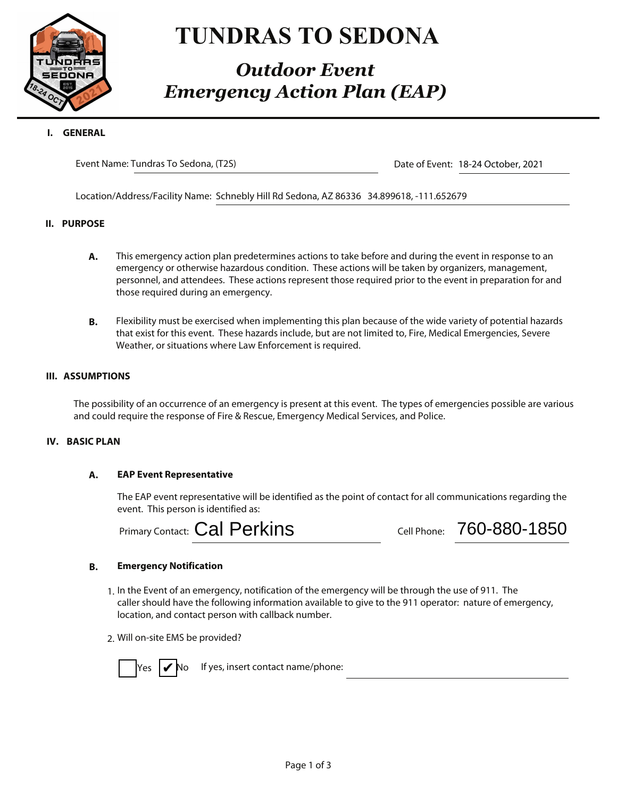

# **TUNDRAS TO SEDONA**

# *Outdoor Event Emergency Action Plan (EAP)*

Event Name: Tundras To Sedona, (T2S)

Date of Event: 18-24 October, 2021

Location/Address/Facility Name: Schnebly Hill Rd Sedona, AZ 86336 34.899618, -111.652679

## **II. PURPOSE**

- **A.** This emergency action plan predetermines actions to take before and during the event in response to an emergency or otherwise hazardous condition. These actions will be taken by organizers, management, personnel, and attendees. These actions represent those required prior to the event in preparation for and those required during an emergency.
- **B.** Flexibility must be exercised when implementing this plan because of the wide variety of potential hazards that exist for this event. These hazards include, but are not limited to, Fire, Medical Emergencies, Severe Weather, or situations where Law Enforcement is required.

## **III. ASSUMPTIONS**

The possibility of an occurrence of an emergency is present at this event. The types of emergencies possible are various and could require the response of Fire & Rescue, Emergency Medical Services, and Police.

## **A. EAP Event Representative**

The EAP event representative will be identified as the point of contact for all communications regarding the event. This person is identified as:

Primary Contact: Cal Perkins

Cal Perkins **Cal Phone:** 760-880-1850

# **B. Emergency Notification**

- 1. In the Event of an emergency, notification of the emergency will be through the use of 911. The caller should have the following information available to give to the 911 operator: nature of emergency, location, and contact person with callback number.
- 2. Will on-site EMS be provided?

lYes **I⊄N**o

If yes, insert contact name/phone: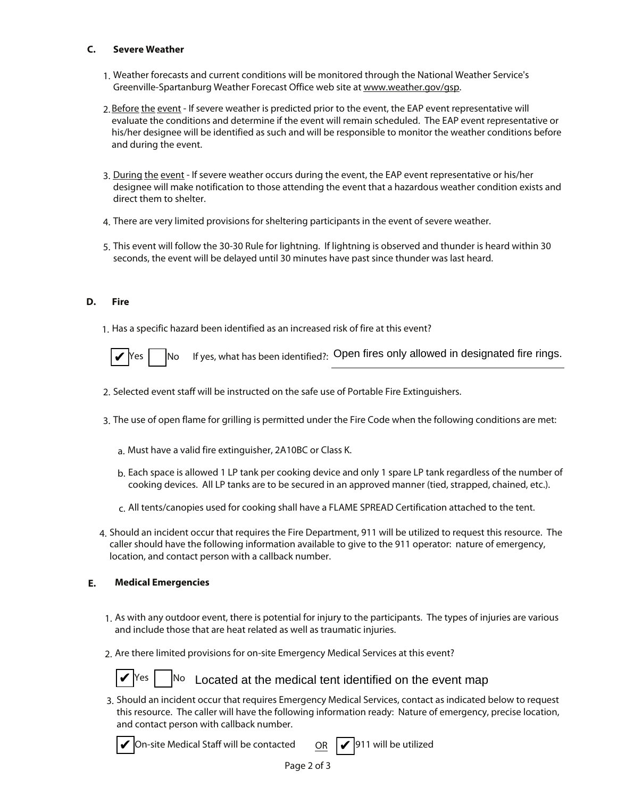## **Severe Weather**

- 1. Weather forecasts and current conditions will be monitored through the National Weather Service's Greenville-Spartanburg Weather Forecast Office web site at www.weather.gov/gsp.
- 2. Before the event If severe weather is predicted prior to the event, the EAP event representative will evaluate the conditions and determine if the event will remain scheduled. The EAP event representative or his/her designee will be identified as such and will be responsible to monitor the weather conditions before and during the event.
- 3. During the event If severe weather occurs during the event, the EAP event representative or his/her designee will make notification to those attending the event that a hazardous weather condition exists and direct them to shelter.
- 4. There are very limited provisions for sheltering participants in the event of severe weather.
- 5. This event will follow the 30-30 Rule for lightning. If lightning is observed and thunder is heard within 30 seconds, the event will be delayed until 30 minutes have past since thunder was last heard.

1. Has a specific hazard been identified as an increased risk of fire at this event?



 $\blacktriangleright$ Yes  $\Box$ No If yes, what has been identified?: Open fires only allowed in designated fire rings.

- 2. Selected event staff will be instructed on the safe use of Portable Fire Extinguishers.
- 3. The use of open flame for grilling is permitted under the Fire Code when the following conditions are met:
	- a. Must have a valid fire extinguisher, 2A10BC or Class K.
	- b. Each space is allowed 1 LP tank per cooking device and only 1 spare LP tank regardless of the number of cooking devices. All LP tanks are to be secured in an approved manner (tied, strapped, chained, etc.).
	- c. All tents/canopies used for cooking shall have a FLAME SPREAD Certification attached to the tent.
- 4. Should an incident occur that requires the Fire Department, 911 will be utilized to request this resource. The caller should have the following information available to give to the 911 operator: nature of emergency, location, and contact person with a callback number.

# **E. Medical Emergencies**

- 1. As with any outdoor event, there is potential for injury to the participants. The types of injuries are various and include those that are heat related as well as traumatic injuries.
- 2. Are there limited provisions for on-site Emergency Medical Services at this event?



 $\mathbf{Y}$ <sup>Yes</sup>  $\vert$  No Located at the medical tent identified on the event map

3. Should an incident occur that requires Emergency Medical Services, contact as indicated below to request this resource. The caller will have the following information ready: Nature of emergency, precise location, and contact person with callback number.



 $\blacktriangledown$  On-site Medical Staff will be contacted QR  $\boxed{\blacktriangledown}$